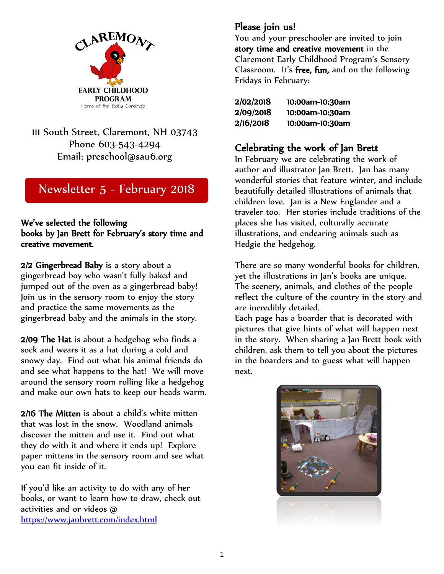

111 South Street, Claremont, NH 03743 Phone 603-543-4294 Email: preschool@sau6.org

# Newsletter 5 - February 2018

# We've selected the following books by Jan Brett for February's story time and creative movement.

2/2 Gingerbread Baby is a story about a gingerbread boy who wasn't fully baked and jumped out of the oven as a gingerbread baby! Join us in the sensory room to enjoy the story and practice the same movements as the gingerbread baby and the animals in the story.

2/09 The Hat is about a hedgehog who finds a sock and wears it as a hat during a cold and snowy day. Find out what his animal friends do and see what happens to the hat! We will move around the sensory room rolling like a hedgehog and make our own hats to keep our heads warm.

2/16 The Mitten is about a child's white mitten that was lost in the snow. Woodland animals discover the mitten and use it. Find out what they do with it and where it ends up! Explore paper mittens in the sensory room and see what you can fit inside of it.

If you'd like an activity to do with any of her books, or want to learn how to draw, check out activities and or videos @ <https://www.janbrett.com/index.html>

**Please join us!**<br>You and your preschooler are invited to join story time and creative movement in the Claremont Early Childhood Program's Sensory Classroom. It's free, fun, and on the following Fridays in February:

| <b>2/02/2018</b> | 10:00am-10:30am |
|------------------|-----------------|
| 2/09/2018        | 10:00am-10:30am |
| 2/16/2018        | 10:00am-10:30am |

# Celebrating the work of Jan Brett In February we are celebrating the work of

author and illustrator Jan Brett. Jan has many wonderful stories that feature winter, and include beautifully detailed illustrations of animals that children love. Jan is a New Englander and a traveler too. Her stories include traditions of the places she has visited, culturally accurate illustrations, and endearing animals such as Hedgie the hedgehog.

There are so many wonderful books for children, yet the illustrations in Jan's books are unique. The scenery, animals, and clothes of the people reflect the culture of the country in the story and are incredibly detailed.

Each page has a boarder that is decorated with pictures that give hints of what will happen next in the story. When sharing a Jan Brett book with children, ask them to tell you about the pictures in the boarders and to guess what will happen next.